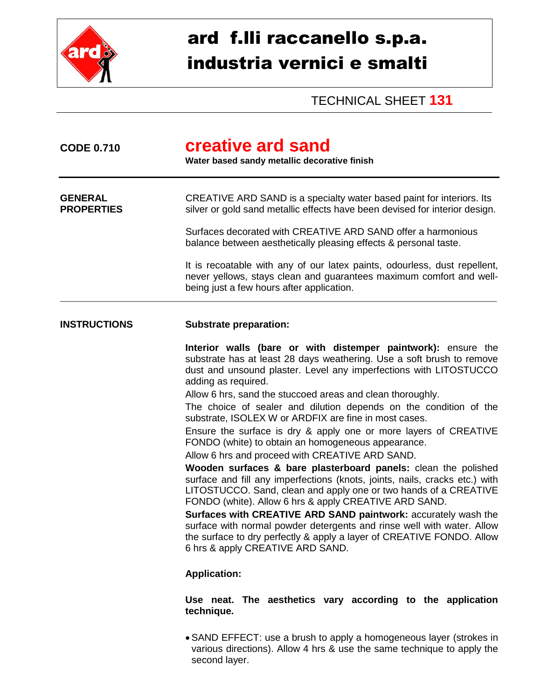

## ard f.lli raccanello s.p.a. industria vernici e smalti

TECHNICAL SHEET **131**

| <b>CODE 0.710</b>                   | creative ard sand<br>Water based sandy metallic decorative finish                                                                                                                                                                                                                                                                                                                                                                                                                                                                                                                                                                                                                                                                                                                                                                                                                                                                                                                                                                                                                                                                                                                                                                                                                                                                    |  |  |
|-------------------------------------|--------------------------------------------------------------------------------------------------------------------------------------------------------------------------------------------------------------------------------------------------------------------------------------------------------------------------------------------------------------------------------------------------------------------------------------------------------------------------------------------------------------------------------------------------------------------------------------------------------------------------------------------------------------------------------------------------------------------------------------------------------------------------------------------------------------------------------------------------------------------------------------------------------------------------------------------------------------------------------------------------------------------------------------------------------------------------------------------------------------------------------------------------------------------------------------------------------------------------------------------------------------------------------------------------------------------------------------|--|--|
| <b>GENERAL</b><br><b>PROPERTIES</b> | CREATIVE ARD SAND is a specialty water based paint for interiors. Its<br>silver or gold sand metallic effects have been devised for interior design.                                                                                                                                                                                                                                                                                                                                                                                                                                                                                                                                                                                                                                                                                                                                                                                                                                                                                                                                                                                                                                                                                                                                                                                 |  |  |
|                                     | Surfaces decorated with CREATIVE ARD SAND offer a harmonious<br>balance between aesthetically pleasing effects & personal taste.                                                                                                                                                                                                                                                                                                                                                                                                                                                                                                                                                                                                                                                                                                                                                                                                                                                                                                                                                                                                                                                                                                                                                                                                     |  |  |
|                                     | It is recoatable with any of our latex paints, odourless, dust repellent,<br>never yellows, stays clean and guarantees maximum comfort and well-<br>being just a few hours after application.                                                                                                                                                                                                                                                                                                                                                                                                                                                                                                                                                                                                                                                                                                                                                                                                                                                                                                                                                                                                                                                                                                                                        |  |  |
| <b>INSTRUCTIONS</b>                 | <b>Substrate preparation:</b>                                                                                                                                                                                                                                                                                                                                                                                                                                                                                                                                                                                                                                                                                                                                                                                                                                                                                                                                                                                                                                                                                                                                                                                                                                                                                                        |  |  |
|                                     | Interior walls (bare or with distemper paintwork): ensure the<br>substrate has at least 28 days weathering. Use a soft brush to remove<br>dust and unsound plaster. Level any imperfections with LITOSTUCCO<br>adding as required.<br>Allow 6 hrs, sand the stuccoed areas and clean thoroughly.<br>The choice of sealer and dilution depends on the condition of the<br>substrate, ISOLEX W or ARDFIX are fine in most cases.<br>Ensure the surface is dry & apply one or more layers of CREATIVE<br>FONDO (white) to obtain an homogeneous appearance.<br>Allow 6 hrs and proceed with CREATIVE ARD SAND.<br>Wooden surfaces & bare plasterboard panels: clean the polished<br>surface and fill any imperfections (knots, joints, nails, cracks etc.) with<br>LITOSTUCCO. Sand, clean and apply one or two hands of a CREATIVE<br>FONDO (white). Allow 6 hrs & apply CREATIVE ARD SAND.<br>Surfaces with CREATIVE ARD SAND paintwork: accurately wash the<br>surface with normal powder detergents and rinse well with water. Allow<br>the surface to dry perfectly & apply a layer of CREATIVE FONDO. Allow<br>6 hrs & apply CREATIVE ARD SAND.<br><b>Application:</b><br>Use neat. The aesthetics vary according to the application<br>technique.<br>$\bullet$ SAND EFFECT: use a brush to apply a homogeneous layer (strokes in |  |  |

در: use a prusn to apply a homogeneous layer (strokes in various directions). Allow 4 hrs & use the same technique to apply the second layer.